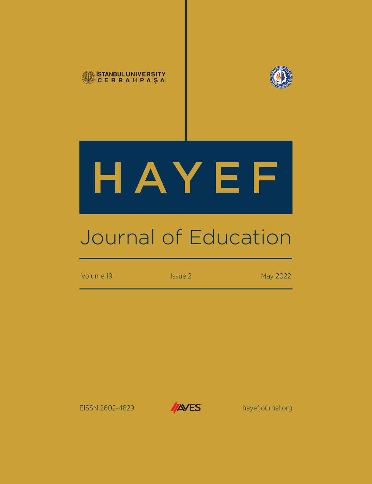



# HAYEF

## Journal of Education

Volume 19 **ISSUE 2** Issue 2 May 2022

EISSN 2602-4829 **hayefjournal.org** 

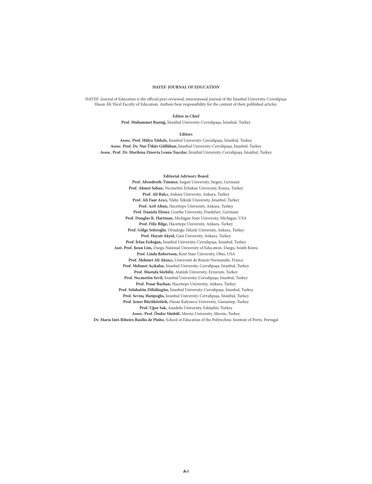#### **HAYEF: JOURNAL OF EDUCATION**

HAYEF: Journal of Education is the official peer-reviewed, international journal of the İstanbul University-Cerrahpaşa Hasan Âli Yücel Faculty of Education. Authors bear responsibility for the content of their published articles.

#### **Editor in Chief**

**Prof. Muhammet Baştuğ,** İstanbul University-Cerrahpaşa, İstanbul, Turkey

#### **Editors**

**Assoc. Prof. Hülya Yıldızlı,** İstanbul University-Cerrahpaşa, İstanbul, Turkey **Assoc. Prof. Dr. Nur Ütkür Güllühan,** İstanbul University-Cerrahpaşa, İstanbul, Turkey **Assoc. Prof. Dr. Marilena Zinovia Leana Taşcılar,** İstanbul University-Cerrahpaşa, İstanbul, Turkey

#### **Editorial Advisory Board**

**Prof. Abendroth-Timmer,** Siegen University, Siegen, Germany **Prof. Ahmet Saban,** Necmettin Erbakan University, Konya, Turkey **Prof. Ali Balcı,** Ankara University, Ankara, Turkey **Prof. Ali Fuat Arıcı,** Yıldız Teknik University, İstanbul, Turkey **Prof. Arif Altun,** Hacettepe University, Ankara, Turkey **Prof. Daniela Elsner,** Goethe University, Frankfurt, Germany **Prof. Douglas K. Hartman,** Michigan State University, Michigan, USA **Prof. Filiz Bilge,** Hacettepe University, Ankara, Turkey **Prof. Gölge Seferoğlu**, Ortadoğu Teknik University, Ankara, Turkey **Prof. Hayati Akyol,** Gazi University, Ankara, Turkey **Prof. İrfan Erdoğan,** İstanbul University-Cerrahpaşa, İstanbul, Turkey **Asst. Prof. Jieun Lim,** Daegu National University of Education, Daegu, South Korea **Prof. Linda Robertson,** Kent State University, Ohio, USA **Prof. Mehmet Ali Akıncı,** Université de Rouen Normandie, France **Prof. Mehmet Açıkalın,** İstanbul University-Cerrahpaşa, İstanbul, Turkey **Prof. Mustafa Sözbilir,** Atatürk University, Erzurum, Turkey **Prof. Necmettin Sevil,** İstanbul University-Cerrahpaşa, İstanbul, Turkey **Prof. Pınar Bayhan,** Hacettepe University, Ankara, Turkey **Prof. Selahattin Dilidüzgün,** İstanbul University-Cerrahpaşa, İstanbul, Turkey **Prof. Sevinç Hatipoğlu,** İstanbul University-Cerrahpaşa, İstanbul, Turkey **Prof. Şener Büyüköztürk,** Hasan Kalyoncu University, Gaziantep, Turkey **Prof. Uğur Sak,** Anadolu University, Eskişehir, Turkey **Assoc. Prof. Önder Sünbül,** Mersin University, Mersin, Turkey **Dr. Maria Inês Ribeiro Basílio de Pinho**, School of Education of the Polytechnic Institute of Porto, Portugal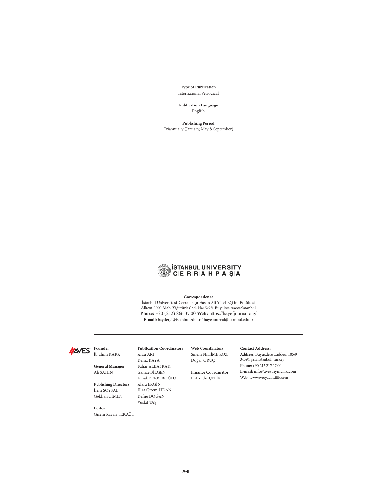**Type of Publication** International Periodical

**Publication Language** English

**Publishing Period** Triannually (January, May & September)



#### **Correspondence**

İstanbul Üniversitesi-Cerrahpaşa Hasan Ali Yücel Eğitim Fakültesi Alkent 2000 Mah. Yiğittürk Cad. No: 5/9/1 Büyükçekmece/İstanbul **Phone:** +90 (212) 866 37 00 **Web:** https://hayefjournal.org/ **E-mail:** haydergi@istanbul.edu.tr / hayefjournal@istanbul.edu.tr



**General Manager** Ali ŞAHIN

**Publishing Directors** İrem SOYSAL Gökhan ÇIMEN

#### **Editor**

Gizem Kayan TEKAÜT

#### **Publication Coordinators**

Arzu ARI Deniz KAYA Bahar ALBAYRAK Gamze BILGEN Irmak BERBEROĞLU Alara ERGIN Hira Gizem FIDAN Defne DOĞAN Vuslat TAŞ

**Web Coordinators** Sinem FEHIME KOZ Doğan ORUÇ

### **Finance Coordinator**

Elif Yıldız ÇELIK

**Contact Address:** 

**Address:** Büyükdere Caddesi, 105/9 34394 Şişli, İstanbul, Turkey **Phone:** +90 212 217 17 00 **E-mail:** info@avesyayincilik.com **Web:** www.avesyayincilik.com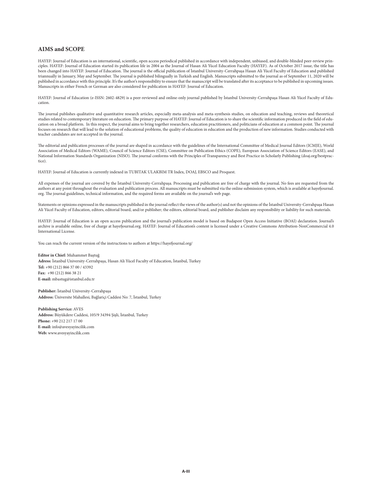#### **AIMS and SCOPE**

HAYEF: Journal of Education is an international, scientific, open access periodical published in accordance with independent, unbiased, and double-blinded peer-review principles. HAYEF: Journal of Education started its publication life in 2004 as the Journal of Hasan Ali Yücel Education Faculty (HAYEF). As of October 2017 issue, the title has been changed into HAYEF: Journal of Education. The journal is the official publication of İstanbul University-Cerrahpaşa Hasan Ali Yücel Faculty of Education and published triannually in January, May and September. The journal is published bilingually in Turkish and English. Manuscripts submitted to the journal as of September 11, 2020 will be published in accordance with this principle. It's the author's responsibility to ensure that the manuscript will be translated after its acceptance to be published in upcoming issues. Manuscripts in either French or German are also considered for publication in HAYEF: Journal of Education.

HAYEF: Journal of Education (e-ISSN: 2602-4829) is a peer-reviewed and online-only journal published by İstanbul University-Cerrahpaşa Hasan Ali Yücel Faculty of Education.

The journal publishes qualitative and quantitative research articles, especially meta-analysis and meta-synthesis studies, on education and teaching, reviews and theoretical studies related to contemporary literature on education. The primary purpose of HAYEF: Journal of Education is to share the scientific information produced in the field of education on a broad platform. In this respect, the journal aims to bring together researchers, education practitioners, and politicians of education at a common point. The journal focuses on research that will lead to the solution of educational problems, the quality of education in education and the production of new information. Studies conducted with teacher candidates are not accepted in the journal.

The editorial and publication processes of the journal are shaped in accordance with the guidelines of the International Committee of Medical Journal Editors (ICMJE), World Association of Medical Editors (WAME), Council of Science Editors (CSE), Committee on Publication Ethics (COPE), European Association of Science Editors (EASE), and National Information Standards Organization (NISO). The journal conforms with the Principles of Transparency and Best Practice in Scholarly Publishing (doaj.org/bestpractice).

HAYEF: Journal of Education is currently indexed in TUBITAK ULAKBIM TR Index, DOAJ, EBSCO and Proquest.

All expenses of the journal are covered by the İstanbul University-Cerrahpaşa. Processing and publication are free of charge with the journal. No fees are requested from the authors at any point throughout the evaluation and publication process. All manuscripts must be submitted via the online submission system, which is available at hayefjournal. org. The journal guidelines, technical information, and the required forms are available on the journal's web page.

Statements or opinions expressed in the manuscripts published in the journal reflect the views of the author(s) and not the opinions of the İstanbul University-Cerrahpaşa Hasan Ali Yücel Faculty of Education, editors, editorial board, and/or publisher; the editors, editorial board, and publisher disclaim any responsibility or liability for such materials.

HAYEF: Journal of Education is an open access publication and the journal's publication model is based on Budapest Open Access Initiative (BOAI) declaration. Journal's archive is available online, free of charge at hayefjournal.org. HAYEF: Journal of Education's content is licensed under a Creative Commons Attribution-NonCommercial 4.0 International License.

You can reach the current version of the instructions to authors at https://hayefjournal.org/

#### **Editor in Chief:** Muhammet Baştuğ

**Adress:** İstanbul University-Cerrahpaşa, Hasan Ali Yücel Faculty of Education, İstanbul, Turkey **Tel:** +90 (212) 866 37 00 / 43392 **Fax:** +90 (212) 866 38 21 **E-mail:** mbastug@istanbul.edu.tr

**Publisher:** İstanbul University-Cerrahpaşa **Address:** Üniversite Mahallesi, Bağlariçi Caddesi No: 7, İstanbul, Turkey

**Publishing Service:** AVES **Address:** Büyükdere Caddesi, 105/9 34394 Şişli, İstanbul, Turkey **Phone:** +90 212 217 17 00 **E-mail:** info@avesyayincilik.com **Web:** www.avesyayincilik.com